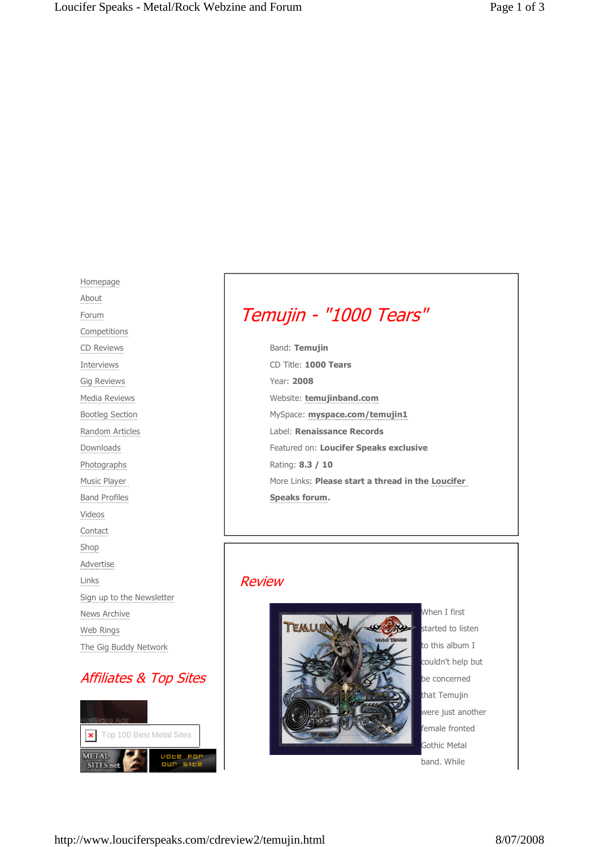Homepage

About Forum Competitions CD Reviews Interviews Gig Reviews Media Reviews Bootleg Section Random Articles Downloads Photographs Music Player Band Profiles Videos Contact Shop Advertise Links Sign up to the Newsletter News Archive Web Rings The Gig Buddy Network

## Affiliates & Top Sites



## Temujin - "1000 Tears"

Band: **Temujin** CD Title: **1000 Tears** Year: **2008** Website: **temujinband.com** MySpace: **myspace.com/temujin1** Label: **Renaissance Records** Featured on: **Loucifer Speaks exclusive** Rating: **8.3 / 10** More Links: **Please start a thread in the Loucifer Speaks forum.**

## Review



When I first started to listen to this album I couldn't help but be concerned that Temujin were just another female fronted Gothic Metal band. While